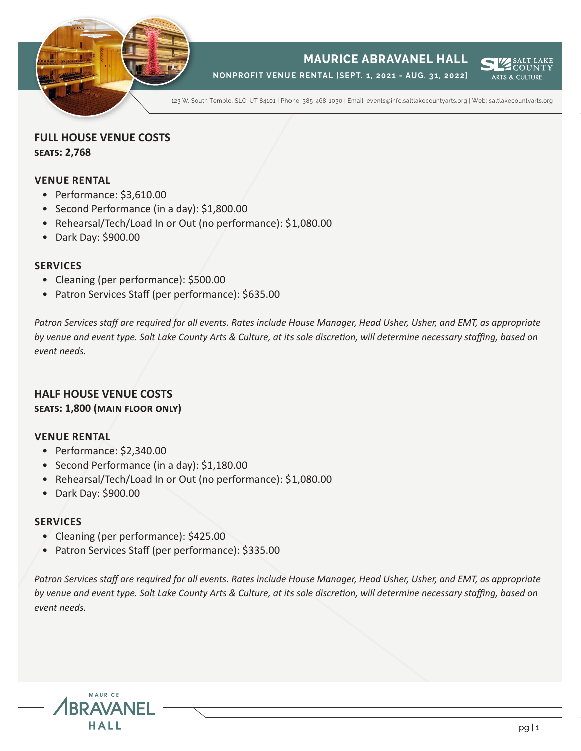

# **MAURICE ABRAVANEL HALL**

**NONPROFIT VENUE RENTAL [SEPT. 1, 2021 - AUG. 31, 2022]**



123 W. South Temple, SLC, UT 84101 | Phone: 385-468-1030 | Email: events@info.saltlakecountyarts.org | Web: saltlakecountyarts.org

**FULL HOUSE VENUE COSTS seats: 2,768** 

# **VENUE RENTAL**

- Performance: \$3,610.00
- Second Performance (in a day): \$1,800.00
- Rehearsal/Tech/Load In or Out (no performance): \$1,080.00
- Dark Day: \$900.00

## **SERVICES**

- Cleaning (per performance): \$500.00
- Patron Services Staff (per performance): \$635.00

*Patron Services staff are required for all events. Rates include House Manager, Head Usher, Usher, and EMT, as appropriate by venue and event type. Salt Lake County Arts & Culture, at its sole discretion, will determine necessary staffing, based on event needs.*

# **HALF HOUSE VENUE COSTS seats: 1,800 (main floor only)**

## **VENUE RENTAL**

- Performance: \$2,340.00
- Second Performance (in a day): \$1,180.00
- Rehearsal/Tech/Load In or Out (no performance): \$1,080.00
- Dark Day: \$900.00

# **SERVICES**

- Cleaning (per performance): \$425.00
- Patron Services Staff (per performance): \$335.00

*Patron Services staff are required for all events. Rates include House Manager, Head Usher, Usher, and EMT, as appropriate by venue and event type. Salt Lake County Arts & Culture, at its sole discretion, will determine necessary staffing, based on event needs.*

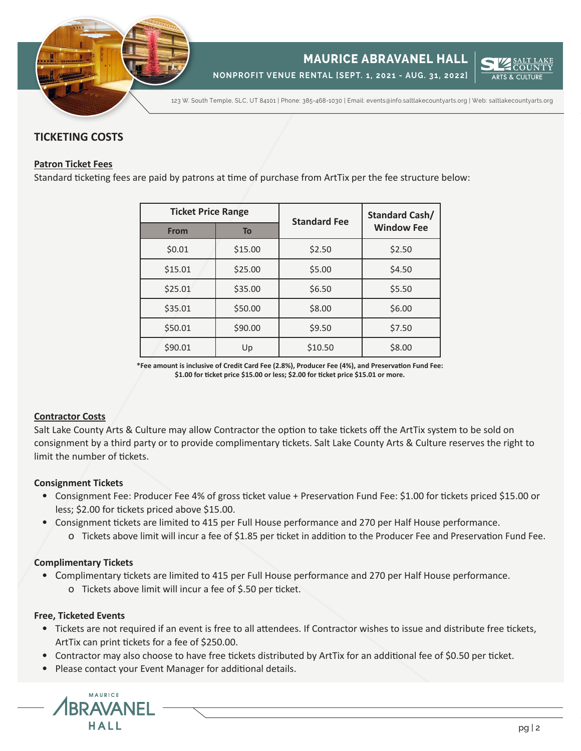

**NONPROFIT VENUE RENTAL [SEPT. 1, 2021 - AUG. 31, 2022]**



123 W. South Temple, SLC, UT 84101 | Phone: 385-468-1030 | Email: events@info.saltlakecountyarts.org | Web: saltlakecountyarts.org

# **TICKETING COSTS**

## **Patron Ticket Fees**

Standard ticketing fees are paid by patrons at time of purchase from ArtTix per the fee structure below:

| <b>Ticket Price Range</b> |         | <b>Standard Fee</b> | <b>Standard Cash/</b> |
|---------------------------|---------|---------------------|-----------------------|
| <b>From</b>               | To      |                     | <b>Window Fee</b>     |
| \$0.01                    | \$15.00 | \$2.50              | \$2.50                |
| \$15.01                   | \$25.00 | \$5.00              | \$4.50                |
| \$25.01                   | \$35.00 | \$6.50              | \$5.50                |
| \$35.01                   | \$50.00 | \$8.00              | \$6.00                |
| \$50.01                   | \$90.00 | \$9.50              | \$7.50                |
| \$90.01                   | Up      | \$10.50             | \$8.00                |

**\*Fee amount is inclusive of Credit Card Fee (2.8%), Producer Fee (4%), and Preservation Fund Fee: \$1.00 for ticket price \$15.00 or less; \$2.00 for ticket price \$15.01 or more.**

## **Contractor Costs**

Salt Lake County Arts & Culture may allow Contractor the option to take tickets off the ArtTix system to be sold on consignment by a third party or to provide complimentary tickets. Salt Lake County Arts & Culture reserves the right to limit the number of tickets.

## **Consignment Tickets**

- Consignment Fee: Producer Fee 4% of gross ticket value + Preservation Fund Fee: \$1.00 for tickets priced \$15.00 or less; \$2.00 for tickets priced above \$15.00.
- Consignment tickets are limited to 415 per Full House performance and 270 per Half House performance.
	- o Tickets above limit will incur a fee of \$1.85 per ticket in addition to the Producer Fee and Preservation Fund Fee.

# **Complimentary Tickets**

- Complimentary tickets are limited to 415 per Full House performance and 270 per Half House performance.
	- o Tickets above limit will incur a fee of \$.50 per ticket.

## **Free, Ticketed Events**

- Tickets are not required if an event is free to all attendees. If Contractor wishes to issue and distribute free tickets, ArtTix can print tickets for a fee of \$250.00.
- Contractor may also choose to have free tickets distributed by ArtTix for an additional fee of \$0.50 per ticket.
- Please contact your Event Manager for additional details.

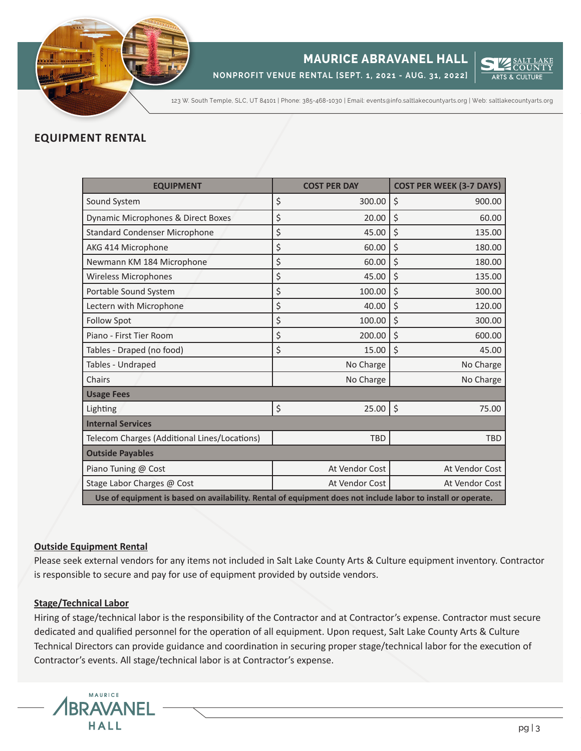

# **MAURICE ABRAVANEL HALL**

**NONPROFIT VENUE RENTAL [SEPT. 1, 2021 - AUG. 31, 2022]**



123 W. South Temple, SLC, UT 84101 | Phone: 385-468-1030 | Email: events@info.saltlakecountyarts.org | Web: saltlakecountyarts.org

# **EQUIPMENT RENTAL**

| <b>EQUIPMENT</b>                                                                                             |    | <b>COST PER DAY</b> | <b>COST PER WEEK (3-7 DAYS)</b> |  |
|--------------------------------------------------------------------------------------------------------------|----|---------------------|---------------------------------|--|
| Sound System                                                                                                 | \$ | 300.00              | \$<br>900.00                    |  |
| Dynamic Microphones & Direct Boxes                                                                           | \$ | 20.00               | $\zeta$<br>60.00                |  |
| <b>Standard Condenser Microphone</b>                                                                         | \$ | 45.00               | \$<br>135.00                    |  |
| AKG 414 Microphone                                                                                           | \$ | 60.00               | \$<br>180.00                    |  |
| Newmann KM 184 Microphone                                                                                    | \$ | 60.00               | \$<br>180.00                    |  |
| <b>Wireless Microphones</b>                                                                                  | \$ | 45.00               | \$<br>135.00                    |  |
| Portable Sound System                                                                                        | \$ | 100.00              | $\zeta$<br>300.00               |  |
| Lectern with Microphone                                                                                      | \$ | 40.00               | \$<br>120.00                    |  |
| <b>Follow Spot</b>                                                                                           | \$ | 100.00              | \$<br>300.00                    |  |
| Piano - First Tier Room                                                                                      | \$ | 200.00              | \$<br>600.00                    |  |
| Tables - Draped (no food)                                                                                    | \$ | 15.00               | \$<br>45.00                     |  |
| Tables - Undraped                                                                                            |    | No Charge           | No Charge                       |  |
| Chairs                                                                                                       |    | No Charge           | No Charge                       |  |
| <b>Usage Fees</b>                                                                                            |    |                     |                                 |  |
| Lighting                                                                                                     | \$ | 25.00               | $\zeta$<br>75.00                |  |
| <b>Internal Services</b>                                                                                     |    |                     |                                 |  |
| Telecom Charges (Additional Lines/Locations)                                                                 |    | <b>TBD</b>          | <b>TBD</b>                      |  |
| <b>Outside Payables</b>                                                                                      |    |                     |                                 |  |
| Piano Tuning @ Cost                                                                                          |    | At Vendor Cost      | At Vendor Cost                  |  |
| Stage Labor Charges @ Cost                                                                                   |    | At Vendor Cost      | At Vendor Cost                  |  |
| Use of equipment is based on availability. Rental of equipment does not include labor to install or operate. |    |                     |                                 |  |

# **Outside Equipment Rental**

Please seek external vendors for any items not included in Salt Lake County Arts & Culture equipment inventory. Contractor is responsible to secure and pay for use of equipment provided by outside vendors.

## **Stage/Technical Labor**

Hiring of stage/technical labor is the responsibility of the Contractor and at Contractor's expense. Contractor must secure dedicated and qualified personnel for the operation of all equipment. Upon request, Salt Lake County Arts & Culture Technical Directors can provide guidance and coordination in securing proper stage/technical labor for the execution of Contractor's events. All stage/technical labor is at Contractor's expense.